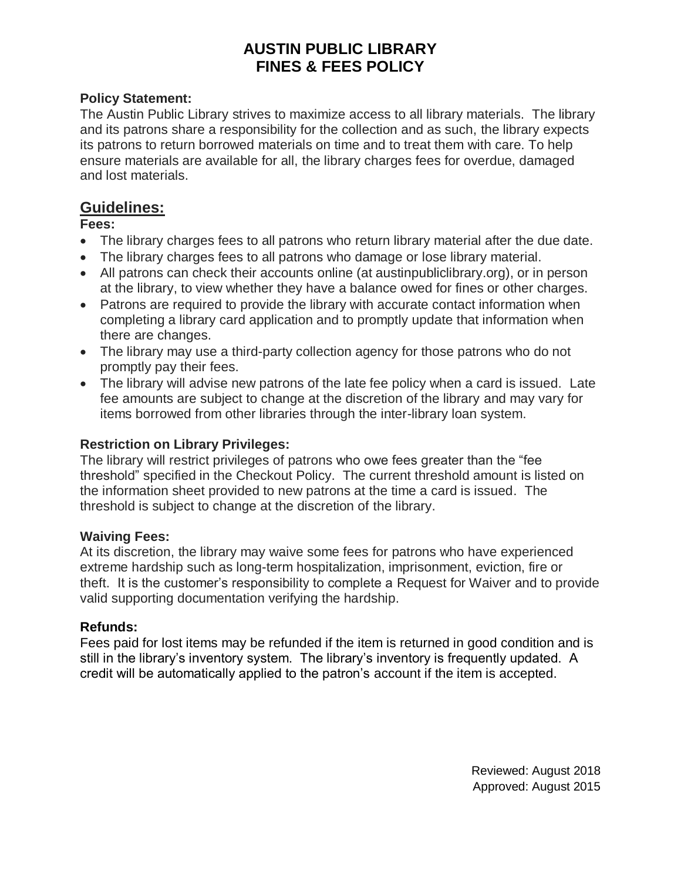# **AUSTIN PUBLIC LIBRARY FINES & FEES POLICY**

## **Policy Statement:**

The Austin Public Library strives to maximize access to all library materials. The library and its patrons share a responsibility for the collection and as such, the library expects its patrons to return borrowed materials on time and to treat them with care. To help ensure materials are available for all, the library charges fees for overdue, damaged and lost materials.

## **Guidelines:**

## **Fees:**

- The library charges fees to all patrons who return library material after the due date.
- The library charges fees to all patrons who damage or lose library material.
- All patrons can check their accounts online (at austinpubliclibrary.org), or in person at the library, to view whether they have a balance owed for fines or other charges.
- Patrons are required to provide the library with accurate contact information when completing a library card application and to promptly update that information when there are changes.
- The library may use a third-party collection agency for those patrons who do not promptly pay their fees.
- The library will advise new patrons of the late fee policy when a card is issued. Late fee amounts are subject to change at the discretion of the library and may vary for items borrowed from other libraries through the inter-library loan system.

## **Restriction on Library Privileges:**

The library will restrict privileges of patrons who owe fees greater than the "fee threshold" specified in the Checkout Policy. The current threshold amount is listed on the information sheet provided to new patrons at the time a card is issued. The threshold is subject to change at the discretion of the library.

#### **Waiving Fees:**

At its discretion, the library may waive some fees for patrons who have experienced extreme hardship such as long-term hospitalization, imprisonment, eviction, fire or theft. It is the customer's responsibility to complete a Request for Waiver and to provide valid supporting documentation verifying the hardship.

## **Refunds:**

Fees paid for lost items may be refunded if the item is returned in good condition and is still in the library's inventory system. The library's inventory is frequently updated. A credit will be automatically applied to the patron's account if the item is accepted.

> Reviewed: August 2018 Approved: August 2015